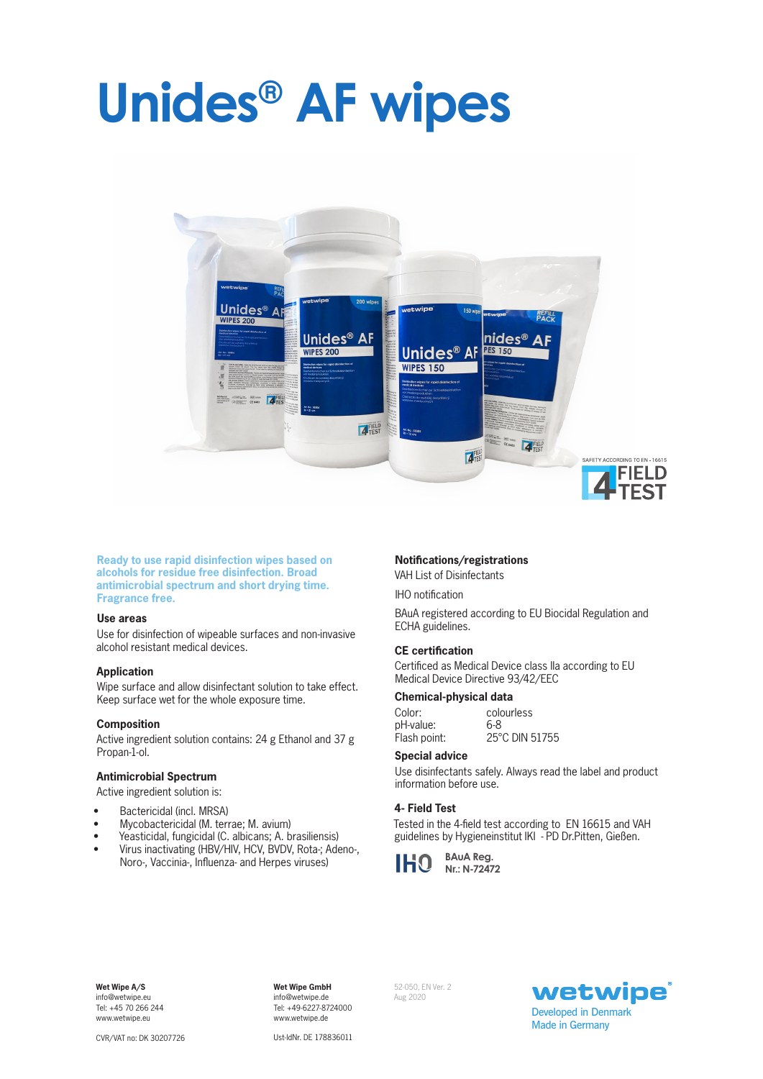# **Unides® AF wipes**



**Ready to use rapid disinfection wipes based on alcohols for residue free disinfection. Broad antimicrobial spectrum and short drying time. Fragrance free.**

#### **Use areas**

Use for disinfection of wipeable surfaces and non-invasive alcohol resistant medical devices.

#### **Application**

Wipe surface and allow disinfectant solution to take effect. Keep surface wet for the whole exposure time.

## **Composition**

Active ingredient solution contains: 24 g Ethanol and 37 g Propan-1-ol.

#### **Antimicrobial Spectrum**

Active ingredient solution is:

- Bactericidal (incl. MRSA)
- Mycobactericidal (M. terrae; M. avium)
- Yeasticidal, fungicidal (C. albicans; A. brasiliensis)
- Virus inactivating (HBV/HIV, HCV, BVDV, Rota-; Adeno-, Noro-, Vaccinia-, Influenza- and Herpes viruses)

#### **Notifications/registrations**

VAH List of Disinfectants

IHO notification

BAuA registered according to EU Biocidal Regulation and ECHA guidelines.

### **CE certification**

Certificed as Medical Device class IIa according to EU Medical Device Directive 93/42/EEC

#### **Chemical-physical data**

| Color:       | colourless     |
|--------------|----------------|
| pH-value:    | 6-8            |
| Flash point: | 25°C DIN 51755 |

#### **Special advice**

Use disinfectants safely. Always read the label and product information before use.

#### **4- Field Test**

Tested in the 4-field test according to EN 16615 and VAH guidelines by Hygieneinstitut IKI - PD Dr.Pitten, Gießen.



**Wet Wipe A/S**  info@wetwipe.eu Tel: +45 70 266 244 www.wetwipe.eu

**Wet Wipe GmbH** info@wetwipe.de Tel: +49-6227-8724000 www.wetwipe.de

52-050, EN Ver. 2 Aug 2020



Ust-IdNr. DE 178836011